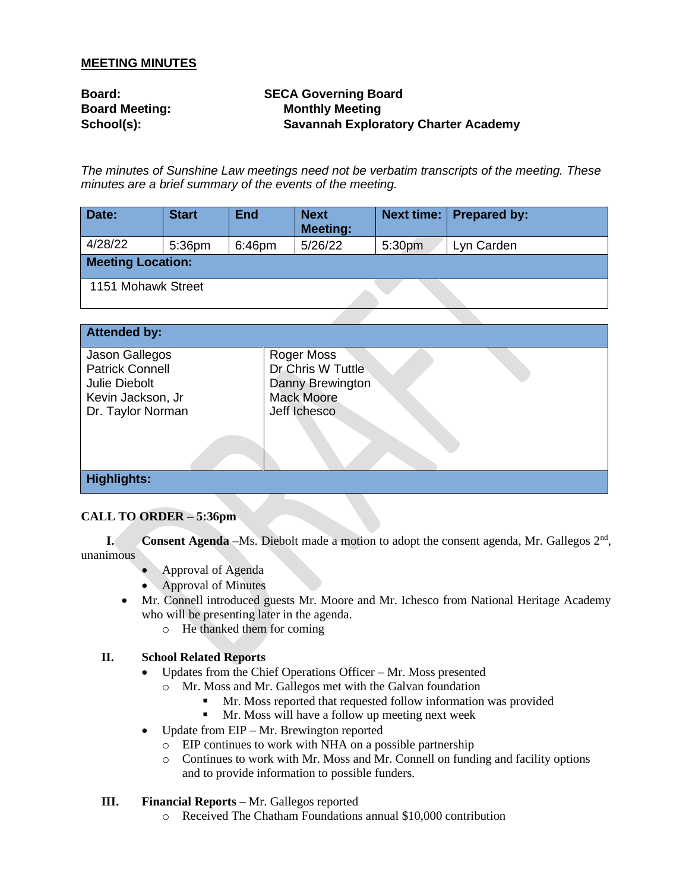## **MEETING MINUTES**

| <b>Board:</b>         | <b>SECA Governing Board</b>                 |
|-----------------------|---------------------------------------------|
| <b>Board Meeting:</b> | <b>Monthly Meeting</b>                      |
| School(s):            | <b>Savannah Exploratory Charter Academy</b> |

*The minutes of Sunshine Law meetings need not be verbatim transcripts of the meeting. These minutes are a brief summary of the events of the meeting.* 

| Date:                    | <b>Start</b> | <b>End</b> | <b>Next</b><br><b>Meeting:</b> |        | Next time:   Prepared by: |  |
|--------------------------|--------------|------------|--------------------------------|--------|---------------------------|--|
| 4/28/22                  | 5:36pm       | 6:46pm     | 5/26/22                        | 5:30pm | Lyn Carden                |  |
| <b>Meeting Location:</b> |              |            |                                |        |                           |  |
| 1151 Mohawk Street       |              |            |                                |        |                           |  |

| <b>Attended by:</b>    |                   |
|------------------------|-------------------|
|                        |                   |
| Jason Gallegos         | Roger Moss        |
| <b>Patrick Connell</b> | Dr Chris W Tuttle |
|                        |                   |
| Julie Diebolt          | Danny Brewington  |
| Kevin Jackson, Jr      | <b>Mack Moore</b> |
| Dr. Taylor Norman      | Jeff Ichesco      |
|                        |                   |
|                        |                   |
|                        |                   |
|                        |                   |
|                        |                   |
| <b>Highlights:</b>     |                   |
|                        |                   |

# **CALL TO ORDER – 5:36pm**

**I. Consent Agenda** –Ms. Diebolt made a motion to adopt the consent agenda, Mr. Gallegos 2<sup>nd</sup>, unanimous

- Approval of Agenda
- Approval of Minutes
- Mr. Connell introduced guests Mr. Moore and Mr. Ichesco from National Heritage Academy who will be presenting later in the agenda.
	- o He thanked them for coming

### **II. School Related Reports**

- Updates from the Chief Operations Officer Mr. Moss presented
	- o Mr. Moss and Mr. Gallegos met with the Galvan foundation
		- Mr. Moss reported that requested follow information was provided
		- **I** Mr. Moss will have a follow up meeting next week
- Update from EIP Mr. Brewington reported
	- o EIP continues to work with NHA on a possible partnership
	- o Continues to work with Mr. Moss and Mr. Connell on funding and facility options and to provide information to possible funders.

# **III. Financial Reports –** Mr. Gallegos reported

o Received The Chatham Foundations annual \$10,000 contribution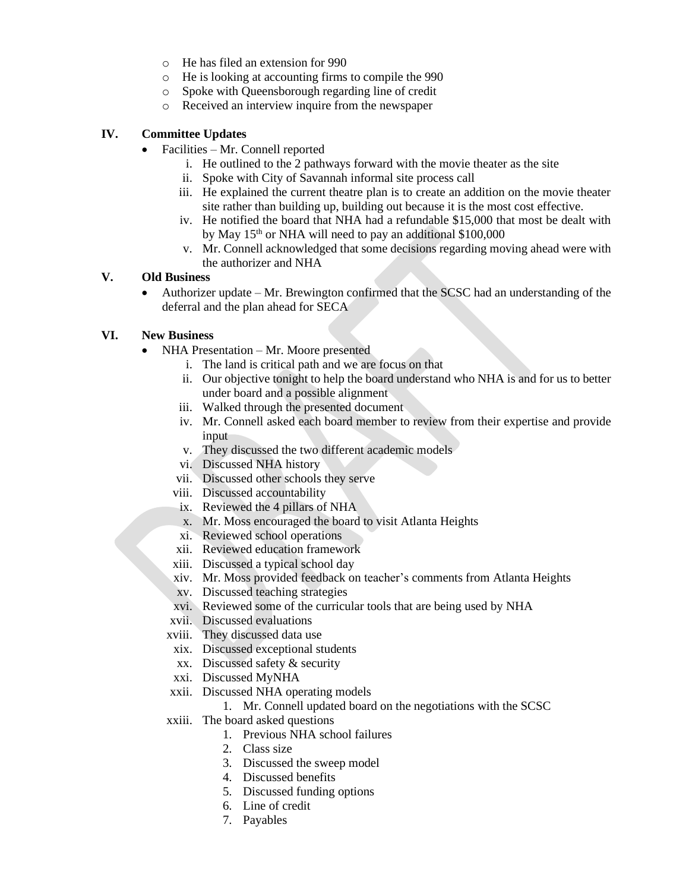- o He has filed an extension for 990
- o He is looking at accounting firms to compile the 990
- o Spoke with Queensborough regarding line of credit
- o Received an interview inquire from the newspaper

### **IV. Committee Updates**

- Facilities Mr. Connell reported
	- i. He outlined to the 2 pathways forward with the movie theater as the site
	- ii. Spoke with City of Savannah informal site process call
	- iii. He explained the current theatre plan is to create an addition on the movie theater site rather than building up, building out because it is the most cost effective.
	- iv. He notified the board that NHA had a refundable \$15,000 that most be dealt with by May 15<sup>th</sup> or NHA will need to pay an additional \$100,000
	- v. Mr. Connell acknowledged that some decisions regarding moving ahead were with the authorizer and NHA

### **V. Old Business**

• Authorizer update – Mr. Brewington confirmed that the SCSC had an understanding of the deferral and the plan ahead for SECA

### **VI. New Business**

- NHA Presentation Mr. Moore presented
	- i. The land is critical path and we are focus on that
	- ii. Our objective tonight to help the board understand who NHA is and for us to better under board and a possible alignment
	- iii. Walked through the presented document
	- iv. Mr. Connell asked each board member to review from their expertise and provide input
	- v. They discussed the two different academic models
	- vi. Discussed NHA history
	- vii. Discussed other schools they serve
	- viii. Discussed accountability
	- ix. Reviewed the 4 pillars of NHA
	- x. Mr. Moss encouraged the board to visit Atlanta Heights
	- xi. Reviewed school operations
	- xii. Reviewed education framework
	- xiii. Discussed a typical school day
	- xiv. Mr. Moss provided feedback on teacher's comments from Atlanta Heights
	- xv. Discussed teaching strategies
	- xvi. Reviewed some of the curricular tools that are being used by NHA
	- xvii. Discussed evaluations
	- xviii. They discussed data use
	- xix. Discussed exceptional students
	- xx. Discussed safety & security
	- xxi. Discussed MyNHA
	- xxii. Discussed NHA operating models

1. Mr. Connell updated board on the negotiations with the SCSC

- xxiii. The board asked questions
	- 1. Previous NHA school failures
	- 2. Class size
	- 3. Discussed the sweep model
	- 4. Discussed benefits
	- 5. Discussed funding options
	- 6. Line of credit
	- 7. Payables